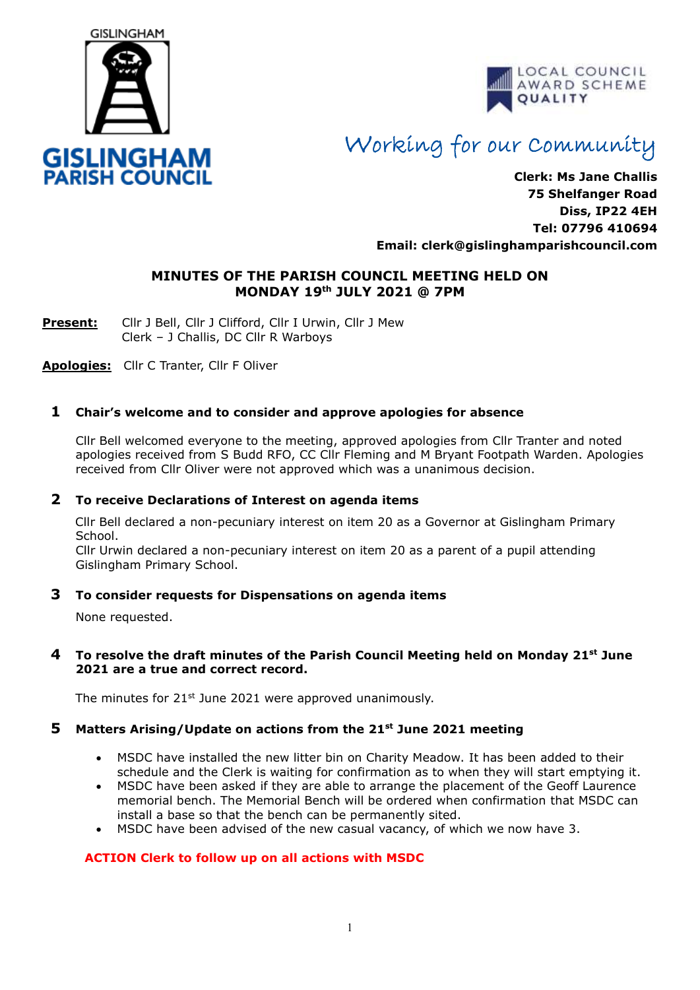



# Working for our Community

**Clerk: Ms Jane Challis 75 Shelfanger Road Diss, IP22 4EH Tel: 07796 410694 Email: clerk[@gislinghamparishcouncil.com](mailto:gislinghamparishcouncil@gmail.com)**

## **MINUTES OF THE PARISH COUNCIL MEETING HELD ON MONDAY 19th JULY 2021 @ 7PM**

**Present:** Cllr J Bell, Cllr J Clifford, Cllr I Urwin, Cllr J Mew Clerk – J Challis, DC Cllr R Warboys

**Apologies:** Cllr C Tranter, Cllr F Oliver

## **1 Chair's welcome and to consider and approve apologies for absence**

Cllr Bell welcomed everyone to the meeting, approved apologies from Cllr Tranter and noted apologies received from S Budd RFO, CC Cllr Fleming and M Bryant Footpath Warden. Apologies received from Cllr Oliver were not approved which was a unanimous decision.

## **2 To receive Declarations of Interest on agenda items**

 Cllr Bell declared a non-pecuniary interest on item 20 as a Governor at Gislingham Primary School.

Cllr Urwin declared a non-pecuniary interest on item 20 as a parent of a pupil attending Gislingham Primary School.

## **3 To consider requests for Dispensations on agenda items**

None requested.

## **4 To resolve the draft minutes of the Parish Council Meeting held on Monday 21st June 2021 are a true and correct record.**

The minutes for  $21<sup>st</sup>$  June 2021 were approved unanimously.

# **5 Matters Arising/Update on actions from the 21st June 2021 meeting**

- MSDC have installed the new litter bin on Charity Meadow. It has been added to their schedule and the Clerk is waiting for confirmation as to when they will start emptying it.
- MSDC have been asked if they are able to arrange the placement of the Geoff Laurence memorial bench. The Memorial Bench will be ordered when confirmation that MSDC can install a base so that the bench can be permanently sited.
- MSDC have been advised of the new casual vacancy, of which we now have 3.

# **ACTION Clerk to follow up on all actions with MSDC**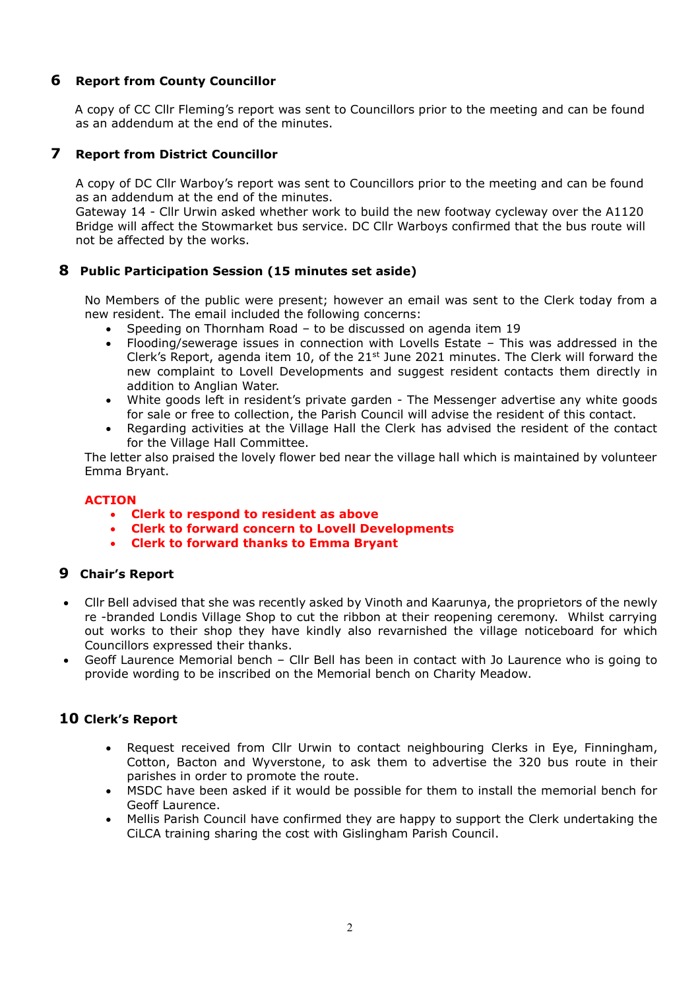## **6 Report from County Councillor**

A copy of CC Cllr Fleming's report was sent to Councillors prior to the meeting and can be found as an addendum at the end of the minutes.

## **7 Report from District Councillor**

A copy of DC Cllr Warboy's report was sent to Councillors prior to the meeting and can be found as an addendum at the end of the minutes.

Gateway 14 - Cllr Urwin asked whether work to build the new footway cycleway over the A1120 Bridge will affect the Stowmarket bus service. DC Cllr Warboys confirmed that the bus route will not be affected by the works.

## **8 Public Participation Session (15 minutes set aside)**

No Members of the public were present; however an email was sent to the Clerk today from a new resident. The email included the following concerns:

- Speeding on Thornham Road to be discussed on agenda item 19
- Flooding/sewerage issues in connection with Lovells Estate This was addressed in the Clerk's Report, agenda item 10, of the 21<sup>st</sup> June 2021 minutes. The Clerk will forward the new complaint to Lovell Developments and suggest resident contacts them directly in addition to Anglian Water.
- White goods left in resident's private garden The Messenger advertise any white goods for sale or free to collection, the Parish Council will advise the resident of this contact.
- Regarding activities at the Village Hall the Clerk has advised the resident of the contact for the Village Hall Committee.

The letter also praised the lovely flower bed near the village hall which is maintained by volunteer Emma Bryant.

## **ACTION**

- **Clerk to respond to resident as above**
- **Clerk to forward concern to Lovell Developments**
- **Clerk to forward thanks to Emma Bryant**

## **9 Chair's Report**

- Cllr Bell advised that she was recently asked by Vinoth and Kaarunya, the proprietors of the newly re -branded Londis Village Shop to cut the ribbon at their reopening ceremony. Whilst carrying out works to their shop they have kindly also revarnished the village noticeboard for which Councillors expressed their thanks.
- Geoff Laurence Memorial bench Cllr Bell has been in contact with Jo Laurence who is going to provide wording to be inscribed on the Memorial bench on Charity Meadow.

## **10 Clerk's Report**

- Request received from Cllr Urwin to contact neighbouring Clerks in Eye, Finningham, Cotton, Bacton and Wyverstone, to ask them to advertise the 320 bus route in their parishes in order to promote the route.
- MSDC have been asked if it would be possible for them to install the memorial bench for Geoff Laurence.
- Mellis Parish Council have confirmed they are happy to support the Clerk undertaking the CiLCA training sharing the cost with Gislingham Parish Council.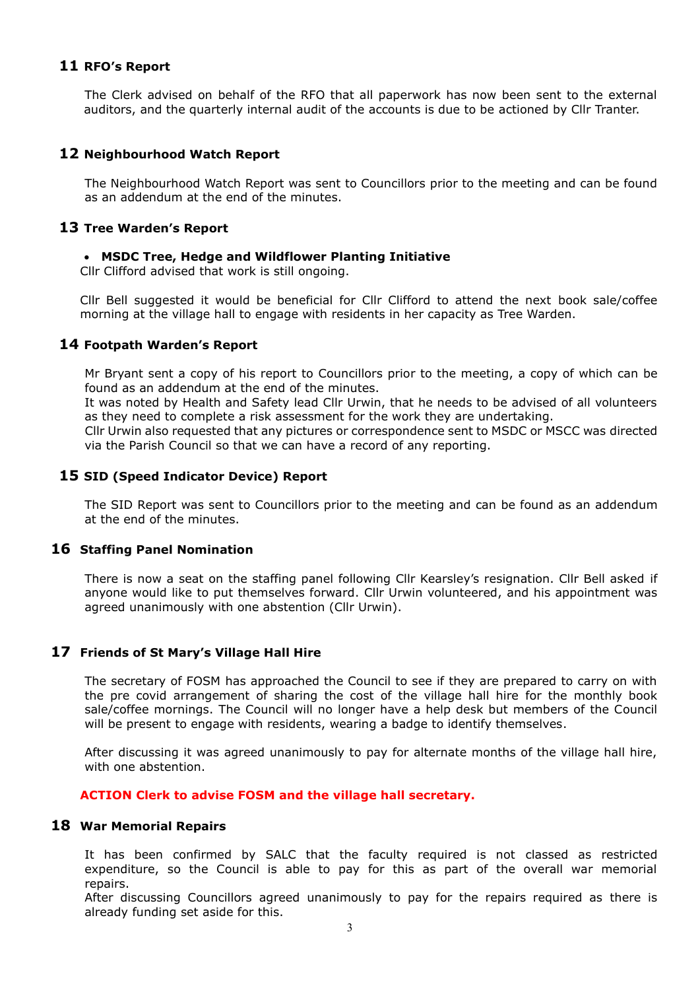## **11 RFO's Report**

The Clerk advised on behalf of the RFO that all paperwork has now been sent to the external auditors, and the quarterly internal audit of the accounts is due to be actioned by Cllr Tranter.

## **12 Neighbourhood Watch Report**

The Neighbourhood Watch Report was sent to Councillors prior to the meeting and can be found as an addendum at the end of the minutes.

#### **13 Tree Warden's Report**

## • **MSDC Tree, Hedge and Wildflower Planting Initiative**

Cllr Clifford advised that work is still ongoing.

Cllr Bell suggested it would be beneficial for Cllr Clifford to attend the next book sale/coffee morning at the village hall to engage with residents in her capacity as Tree Warden.

## **14 Footpath Warden's Report**

Mr Bryant sent a copy of his report to Councillors prior to the meeting, a copy of which can be found as an addendum at the end of the minutes.

It was noted by Health and Safety lead Cllr Urwin, that he needs to be advised of all volunteers as they need to complete a risk assessment for the work they are undertaking.

Cllr Urwin also requested that any pictures or correspondence sent to MSDC or MSCC was directed via the Parish Council so that we can have a record of any reporting.

## **15 SID (Speed Indicator Device) Report**

The SID Report was sent to Councillors prior to the meeting and can be found as an addendum at the end of the minutes.

#### **16 Staffing Panel Nomination**

There is now a seat on the staffing panel following Cllr Kearsley's resignation. Cllr Bell asked if anyone would like to put themselves forward. Cllr Urwin volunteered, and his appointment was agreed unanimously with one abstention (Cllr Urwin).

## **17 Friends of St Mary's Village Hall Hire**

The secretary of FOSM has approached the Council to see if they are prepared to carry on with the pre covid arrangement of sharing the cost of the village hall hire for the monthly book sale/coffee mornings. The Council will no longer have a help desk but members of the Council will be present to engage with residents, wearing a badge to identify themselves.

After discussing it was agreed unanimously to pay for alternate months of the village hall hire, with one abstention.

#### **ACTION Clerk to advise FOSM and the village hall secretary.**

## **18 War Memorial Repairs**

It has been confirmed by SALC that the faculty required is not classed as restricted expenditure, so the Council is able to pay for this as part of the overall war memorial repairs.

After discussing Councillors agreed unanimously to pay for the repairs required as there is already funding set aside for this.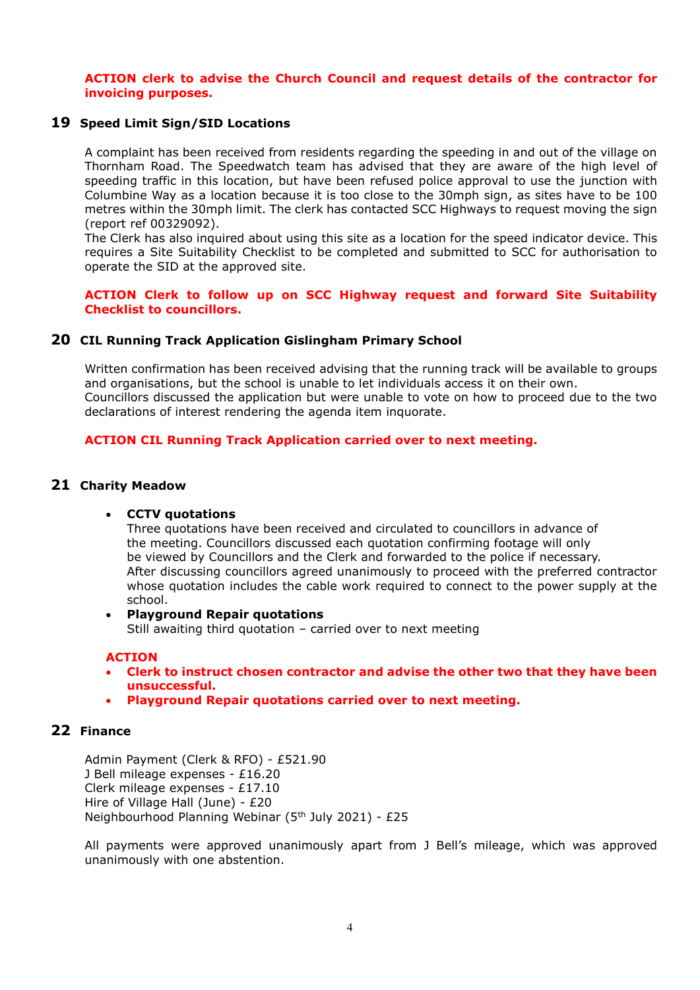**ACTION clerk to advise the Church Council and request details of the contractor for invoicing purposes.**

#### **19 Speed Limit Sign/SID Locations**

A complaint has been received from residents regarding the speeding in and out of the village on Thornham Road. The Speedwatch team has advised that they are aware of the high level of speeding traffic in this location, but have been refused police approval to use the junction with Columbine Way as a location because it is too close to the 30mph sign, as sites have to be 100 metres within the 30mph limit. The clerk has contacted SCC Highways to request moving the sign (report ref 00329092).

The Clerk has also inquired about using this site as a location for the speed indicator device. This requires a Site Suitability Checklist to be completed and submitted to SCC for authorisation to operate the SID at the approved site.

**ACTION Clerk to follow up on SCC Highway request and forward Site Suitability Checklist to councillors.**

#### **20 CIL Running Track Application Gislingham Primary School**

Written confirmation has been received advising that the running track will be available to groups and organisations, but the school is unable to let individuals access it on their own. Councillors discussed the application but were unable to vote on how to proceed due to the two declarations of interest rendering the agenda item inquorate.

#### **ACTION CIL Running Track Application carried over to next meeting.**

#### **21 Charity Meadow**

#### • **CCTV quotations**

Three quotations have been received and circulated to councillors in advance of the meeting. Councillors discussed each quotation confirming footage will only be viewed by Councillors and the Clerk and forwarded to the police if necessary. After discussing councillors agreed unanimously to proceed with the preferred contractor whose quotation includes the cable work required to connect to the power supply at the school.

#### • **Playground Repair quotations** Still awaiting third quotation – carried over to next meeting

#### **ACTION**

- **Clerk to instruct chosen contractor and advise the other two that they have been unsuccessful.**
- **Playground Repair quotations carried over to next meeting.**

## **22 Finance**

Admin Payment (Clerk & RFO) - £521.90 J Bell mileage expenses - £16.20 Clerk mileage expenses - £17.10 Hire of Village Hall (June) - £20 Neighbourhood Planning Webinar (5th July 2021) - £25

All payments were approved unanimously apart from J Bell's mileage, which was approved unanimously with one abstention.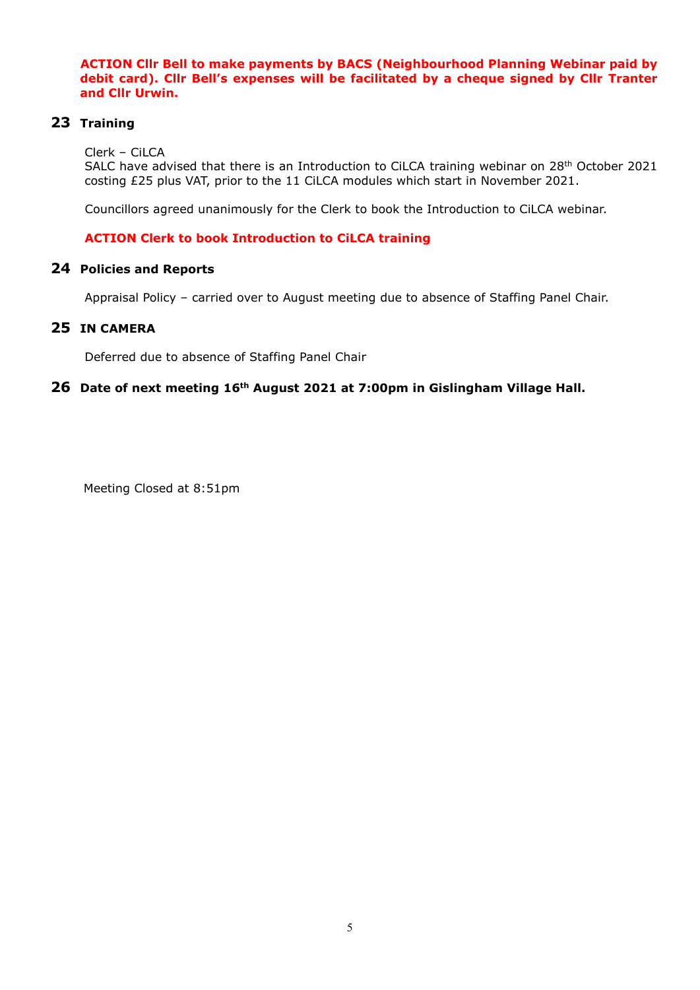**ACTION Cllr Bell to make payments by BACS (Neighbourhood Planning Webinar paid by debit card). Cllr Bell's expenses will be facilitated by a cheque signed by Cllr Tranter and Cllr Urwin.**

## **23 Training**

Clerk – CiLCA

SALC have advised that there is an Introduction to CiLCA training webinar on 28<sup>th</sup> October 2021 costing £25 plus VAT, prior to the 11 CiLCA modules which start in November 2021.

Councillors agreed unanimously for the Clerk to book the Introduction to CiLCA webinar.

## **ACTION Clerk to book Introduction to CiLCA training**

## **24 Policies and Reports**

Appraisal Policy – carried over to August meeting due to absence of Staffing Panel Chair.

## **25 IN CAMERA**

Deferred due to absence of Staffing Panel Chair

## **26 Date of next meeting 16th August 2021 at 7:00pm in Gislingham Village Hall.**

Meeting Closed at 8:51pm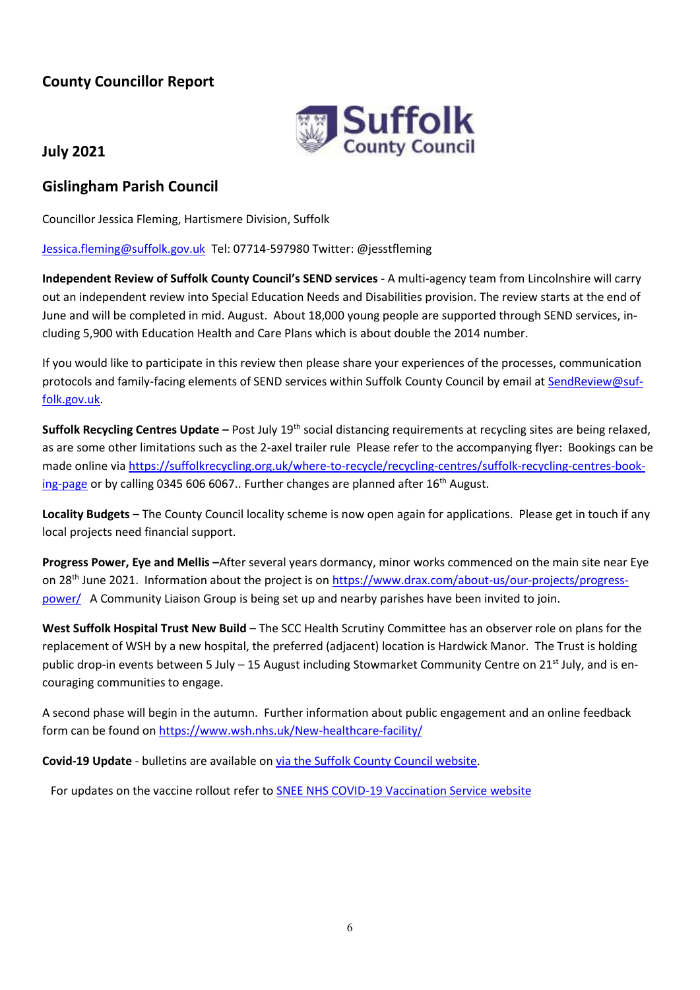# **County Councillor Report**



# **July 2021**

# **Gislingham Parish Council**

Councillor Jessica Fleming, Hartismere Division, Suffolk

## [Jessica.fleming@suffolk.gov.uk](mailto:Jessica.fleming@suffolk.gov.uk) Tel: 07714-597980 Twitter: @jesstfleming

**Independent Review of Suffolk County Council's SEND services** - A multi-agency team from Lincolnshire will carry out an independent review into Special Education Needs and Disabilities provision. The review starts at the end of June and will be completed in mid. August. About 18,000 young people are supported through SEND services, including 5,900 with Education Health and Care Plans which is about double the 2014 number.

If you would like to participate in this review then please share your experiences of the processes, communication protocols and family-facing elements of SEND services within Suffolk County Council by email at [SendReview@suf](mailto:SendReview@suffolk.gov.uk)[folk.gov.uk.](mailto:SendReview@suffolk.gov.uk)

**Suffolk Recycling Centres Update –** Post July 19th social distancing requirements at recycling sites are being relaxed, as are some other limitations such as the 2-axel trailer rule Please refer to the accompanying flyer: Bookings can be made online vi[a https://suffolkrecycling.org.uk/where-to-recycle/recycling-centres/suffolk-recycling-centres-book](https://suffolkrecycling.org.uk/where-to-recycle/recycling-centres/suffolk-recycling-centres-booking-page)[ing-page](https://suffolkrecycling.org.uk/where-to-recycle/recycling-centres/suffolk-recycling-centres-booking-page) or by calling 0345 606 6067.. Further changes are planned after  $16<sup>th</sup>$  August.

**Locality Budgets** – The County Council locality scheme is now open again for applications. Please get in touch if any local projects need financial support.

**Progress Power, Eye and Mellis –**After several years dormancy, minor works commenced on the main site near Eye on 28th June 2021. Information about the project is o[n https://www.drax.com/about-us/our-projects/progress](https://www.drax.com/about-us/our-projects/progress-power/)[power/](https://www.drax.com/about-us/our-projects/progress-power/) A Community Liaison Group is being set up and nearby parishes have been invited to join.

**West Suffolk Hospital Trust New Build** – The SCC Health Scrutiny Committee has an observer role on plans for the replacement of WSH by a new hospital, the preferred (adjacent) location is Hardwick Manor. The Trust is holding public drop-in events between 5 July – 15 August including Stowmarket Community Centre on 21<sup>st</sup> July, and is encouraging communities to engage.

A second phase will begin in the autumn. Further information about public engagement and an online feedback form can be found on<https://www.wsh.nhs.uk/New-healthcare-facility/>

**Covid-19 Update** - bulletins are available o[n via the Suffolk County Council website.](https://www.suffolk.gov.uk/coronavirus-covid-19/suffolks-response/suffolk-coronawatch-bulletin/)

For updates on the vaccine rollout refer to SNEE NHS COVID-19 [Vaccination Service website](https://sneevaccine.org.uk/)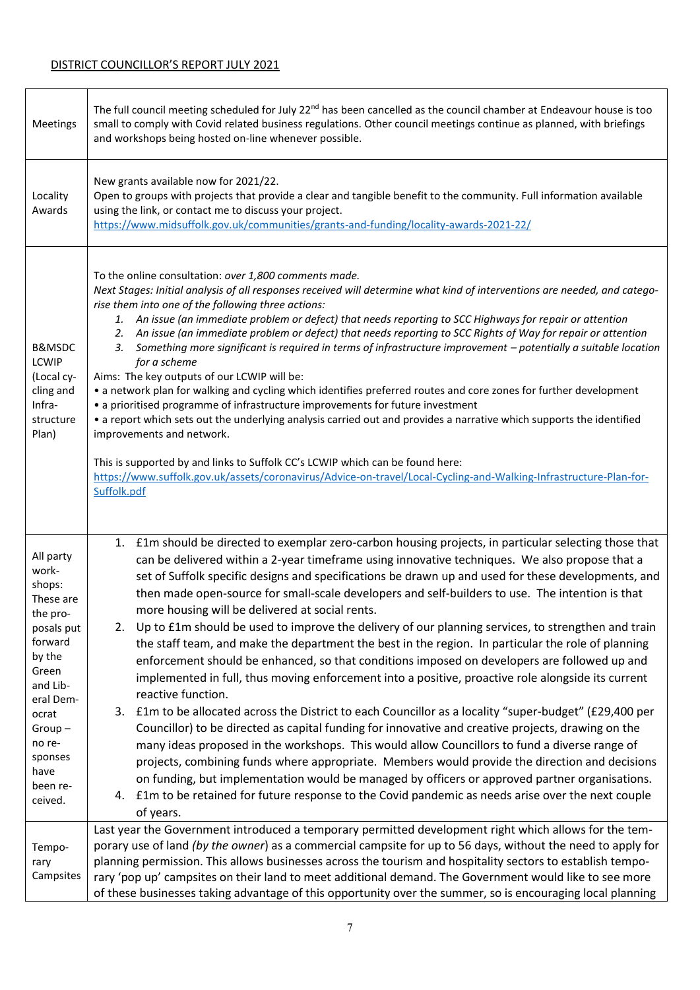| Meetings                                                                                                                                                                                            | The full council meeting scheduled for July 22 <sup>nd</sup> has been cancelled as the council chamber at Endeavour house is too<br>small to comply with Covid related business regulations. Other council meetings continue as planned, with briefings<br>and workshops being hosted on-line whenever possible.                                                                                                                                                                                                                                                                                                                                                                                                                                                                                                                                                                                                                                                                                                                                                                                                                                                                                                                                                                                                                                                                                                                                                                                                                                               |
|-----------------------------------------------------------------------------------------------------------------------------------------------------------------------------------------------------|----------------------------------------------------------------------------------------------------------------------------------------------------------------------------------------------------------------------------------------------------------------------------------------------------------------------------------------------------------------------------------------------------------------------------------------------------------------------------------------------------------------------------------------------------------------------------------------------------------------------------------------------------------------------------------------------------------------------------------------------------------------------------------------------------------------------------------------------------------------------------------------------------------------------------------------------------------------------------------------------------------------------------------------------------------------------------------------------------------------------------------------------------------------------------------------------------------------------------------------------------------------------------------------------------------------------------------------------------------------------------------------------------------------------------------------------------------------------------------------------------------------------------------------------------------------|
| Locality<br>Awards                                                                                                                                                                                  | New grants available now for 2021/22.<br>Open to groups with projects that provide a clear and tangible benefit to the community. Full information available<br>using the link, or contact me to discuss your project.<br>https://www.midsuffolk.gov.uk/communities/grants-and-funding/locality-awards-2021-22/                                                                                                                                                                                                                                                                                                                                                                                                                                                                                                                                                                                                                                                                                                                                                                                                                                                                                                                                                                                                                                                                                                                                                                                                                                                |
| B&MSDC<br>LCWIP<br>(Local cy-<br>cling and<br>Infra-<br>structure<br>Plan)                                                                                                                          | To the online consultation: over 1,800 comments made.<br>Next Stages: Initial analysis of all responses received will determine what kind of interventions are needed, and catego-<br>rise them into one of the following three actions:<br>An issue (an immediate problem or defect) that needs reporting to SCC Highways for repair or attention<br>1.<br>An issue (an immediate problem or defect) that needs reporting to SCC Rights of Way for repair or attention<br>2.<br>Something more significant is required in terms of infrastructure improvement - potentially a suitable location<br>3.<br>for a scheme<br>Aims: The key outputs of our LCWIP will be:<br>• a network plan for walking and cycling which identifies preferred routes and core zones for further development<br>• a prioritised programme of infrastructure improvements for future investment<br>• a report which sets out the underlying analysis carried out and provides a narrative which supports the identified<br>improvements and network.<br>This is supported by and links to Suffolk CC's LCWIP which can be found here:<br>https://www.suffolk.gov.uk/assets/coronavirus/Advice-on-travel/Local-Cycling-and-Walking-Infrastructure-Plan-for-<br>Suffolk.pdf                                                                                                                                                                                                                                                                                                         |
| All party<br>work-<br>shops:<br>These are<br>the pro-<br>posals put<br>forward<br>by the<br>Green<br>and Lib-<br>eral Dem-<br>ocrat<br>$Group-$<br>no re-<br>sponses<br>have<br>been re-<br>ceived. | 1. £1m should be directed to exemplar zero-carbon housing projects, in particular selecting those that<br>can be delivered within a 2-year timeframe using innovative techniques. We also propose that a<br>set of Suffolk specific designs and specifications be drawn up and used for these developments, and<br>then made open-source for small-scale developers and self-builders to use. The intention is that<br>more housing will be delivered at social rents.<br>2. Up to £1m should be used to improve the delivery of our planning services, to strengthen and train<br>the staff team, and make the department the best in the region. In particular the role of planning<br>enforcement should be enhanced, so that conditions imposed on developers are followed up and<br>implemented in full, thus moving enforcement into a positive, proactive role alongside its current<br>reactive function.<br>3. £1m to be allocated across the District to each Councillor as a locality "super-budget" (£29,400 per<br>Councillor) to be directed as capital funding for innovative and creative projects, drawing on the<br>many ideas proposed in the workshops. This would allow Councillors to fund a diverse range of<br>projects, combining funds where appropriate. Members would provide the direction and decisions<br>on funding, but implementation would be managed by officers or approved partner organisations.<br>£1m to be retained for future response to the Covid pandemic as needs arise over the next couple<br>4.<br>of years. |
| Tempo-<br>rary<br>Campsites                                                                                                                                                                         | Last year the Government introduced a temporary permitted development right which allows for the tem-<br>porary use of land (by the owner) as a commercial campsite for up to 56 days, without the need to apply for<br>planning permission. This allows businesses across the tourism and hospitality sectors to establish tempo-<br>rary 'pop up' campsites on their land to meet additional demand. The Government would like to see more<br>of these businesses taking advantage of this opportunity over the summer, so is encouraging local planning                                                                                                                                                                                                                                                                                                                                                                                                                                                                                                                                                                                                                                                                                                                                                                                                                                                                                                                                                                                                     |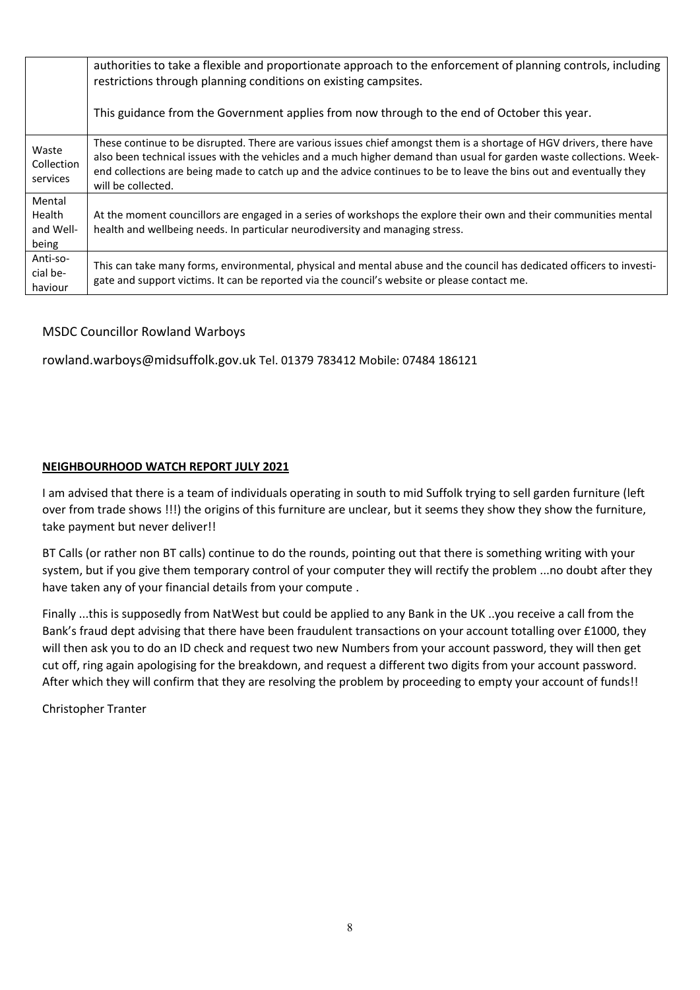|                                        | authorities to take a flexible and proportionate approach to the enforcement of planning controls, including<br>restrictions through planning conditions on existing campsites.                                                                                                                                                                                                           |
|----------------------------------------|-------------------------------------------------------------------------------------------------------------------------------------------------------------------------------------------------------------------------------------------------------------------------------------------------------------------------------------------------------------------------------------------|
|                                        | This guidance from the Government applies from now through to the end of October this year.                                                                                                                                                                                                                                                                                               |
| Waste<br>Collection<br>services        | These continue to be disrupted. There are various issues chief amongst them is a shortage of HGV drivers, there have<br>also been technical issues with the vehicles and a much higher demand than usual for garden waste collections. Week-<br>end collections are being made to catch up and the advice continues to be to leave the bins out and eventually they<br>will be collected. |
| Mental<br>Health<br>and Well-<br>being | At the moment councillors are engaged in a series of workshops the explore their own and their communities mental<br>health and wellbeing needs. In particular neurodiversity and managing stress.                                                                                                                                                                                        |
| Anti-so-<br>cial be-<br>haviour        | This can take many forms, environmental, physical and mental abuse and the council has dedicated officers to investi-<br>gate and support victims. It can be reported via the council's website or please contact me.                                                                                                                                                                     |

## MSDC Councillor Rowland Warboys

rowland.warboys@midsuffolk.gov.uk Tel. 01379 783412 Mobile: 07484 186121

## **NEIGHBOURHOOD WATCH REPORT JULY 2021**

I am advised that there is a team of individuals operating in south to mid Suffolk trying to sell garden furniture (left over from trade shows !!!) the origins of this furniture are unclear, but it seems they show they show the furniture, take payment but never deliver!!

BT Calls (or rather non BT calls) continue to do the rounds, pointing out that there is something writing with your system, but if you give them temporary control of your computer they will rectify the problem ...no doubt after they have taken any of your financial details from your compute .

Finally ...this is supposedly from NatWest but could be applied to any Bank in the UK ..you receive a call from the Bank's fraud dept advising that there have been fraudulent transactions on your account totalling over £1000, they will then ask you to do an ID check and request two new Numbers from your account password, they will then get cut off, ring again apologising for the breakdown, and request a different two digits from your account password. After which they will confirm that they are resolving the problem by proceeding to empty your account of funds!!

Christopher Tranter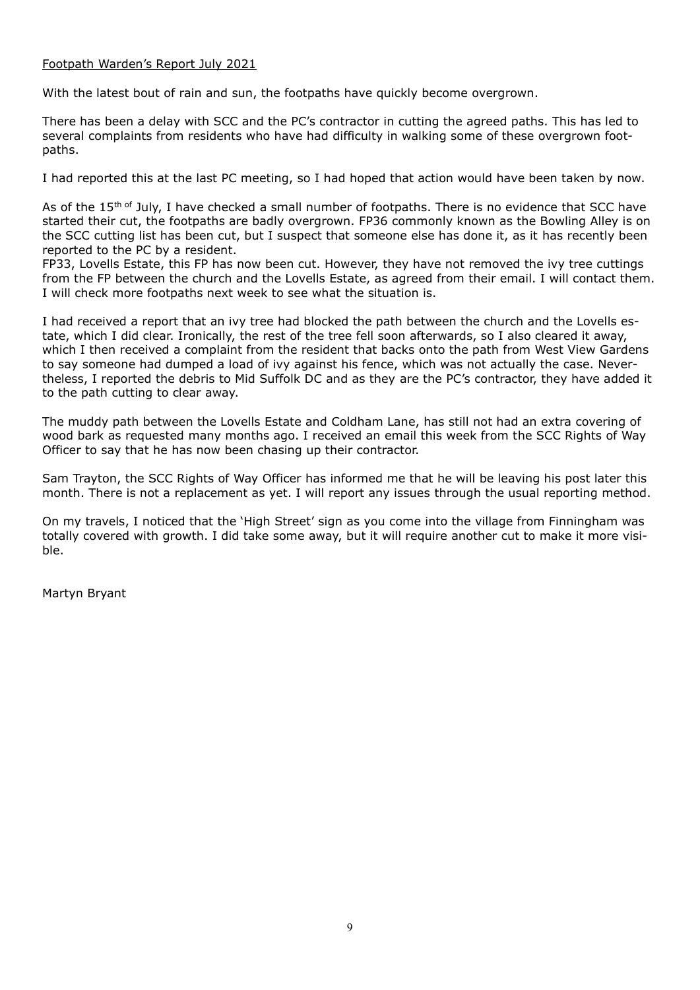#### Footpath Warden's Report July 2021

With the latest bout of rain and sun, the footpaths have quickly become overgrown.

There has been a delay with SCC and the PC's contractor in cutting the agreed paths. This has led to several complaints from residents who have had difficulty in walking some of these overgrown footpaths.

I had reported this at the last PC meeting, so I had hoped that action would have been taken by now.

As of the 15<sup>th of</sup> July, I have checked a small number of footpaths. There is no evidence that SCC have started their cut, the footpaths are badly overgrown. FP36 commonly known as the Bowling Alley is on the SCC cutting list has been cut, but I suspect that someone else has done it, as it has recently been reported to the PC by a resident.

FP33, Lovells Estate, this FP has now been cut. However, they have not removed the ivy tree cuttings from the FP between the church and the Lovells Estate, as agreed from their email. I will contact them. I will check more footpaths next week to see what the situation is.

I had received a report that an ivy tree had blocked the path between the church and the Lovells estate, which I did clear. Ironically, the rest of the tree fell soon afterwards, so I also cleared it away, which I then received a complaint from the resident that backs onto the path from West View Gardens to say someone had dumped a load of ivy against his fence, which was not actually the case. Nevertheless, I reported the debris to Mid Suffolk DC and as they are the PC's contractor, they have added it to the path cutting to clear away.

The muddy path between the Lovells Estate and Coldham Lane, has still not had an extra covering of wood bark as requested many months ago. I received an email this week from the SCC Rights of Way Officer to say that he has now been chasing up their contractor.

Sam Trayton, the SCC Rights of Way Officer has informed me that he will be leaving his post later this month. There is not a replacement as yet. I will report any issues through the usual reporting method.

On my travels, I noticed that the 'High Street' sign as you come into the village from Finningham was totally covered with growth. I did take some away, but it will require another cut to make it more visible.

Martyn Bryant